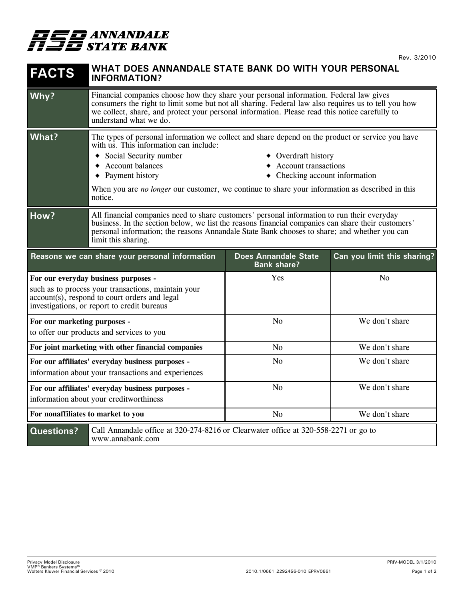

| <b>FACTS</b>                                                                                                                                                                                | WHAT DOES ANNANDALE STATE BANK DO WITH YOUR PERSONAL<br><b>INFORMATION?</b>                                                                                                                                                                                                                                                                                                                                                           |                                                   |                             |
|---------------------------------------------------------------------------------------------------------------------------------------------------------------------------------------------|---------------------------------------------------------------------------------------------------------------------------------------------------------------------------------------------------------------------------------------------------------------------------------------------------------------------------------------------------------------------------------------------------------------------------------------|---------------------------------------------------|-----------------------------|
| Why?                                                                                                                                                                                        | Financial companies choose how they share your personal information. Federal law gives<br>consumers the right to limit some but not all sharing. Federal law also requires us to tell you how<br>we collect, share, and protect your personal information. Please read this notice carefully to<br>understand what we do.                                                                                                             |                                                   |                             |
| What?                                                                                                                                                                                       | The types of personal information we collect and share depend on the product or service you have<br>with us. This information can include:<br>• Social Security number<br>• Overdraft history<br><b>Account transactions</b><br>Account balances<br>$\bullet$ Payment history<br>$\bullet$ Checking account information<br>When you are no longer our customer, we continue to share your information as described in this<br>notice. |                                                   |                             |
| How?                                                                                                                                                                                        | All financial companies need to share customers' personal information to run their everyday<br>business. In the section below, we list the reasons financial companies can share their customers'<br>personal information; the reasons Annandale State Bank chooses to share; and whether you can<br>limit this sharing.                                                                                                              |                                                   |                             |
|                                                                                                                                                                                             | Reasons we can share your personal information                                                                                                                                                                                                                                                                                                                                                                                        | <b>Does Annandale State</b><br><b>Bank share?</b> | Can you limit this sharing? |
| For our everyday business purposes -<br>such as to process your transactions, maintain your<br>account(s), respond to court orders and legal<br>investigations, or report to credit bureaus |                                                                                                                                                                                                                                                                                                                                                                                                                                       | Yes                                               | N <sub>o</sub>              |
| For our marketing purposes -<br>to offer our products and services to you                                                                                                                   |                                                                                                                                                                                                                                                                                                                                                                                                                                       | N <sub>o</sub>                                    | We don't share              |
| For joint marketing with other financial companies                                                                                                                                          |                                                                                                                                                                                                                                                                                                                                                                                                                                       | N <sub>o</sub>                                    | We don't share              |
| For our affiliates' everyday business purposes -<br>information about your transactions and experiences                                                                                     |                                                                                                                                                                                                                                                                                                                                                                                                                                       | N <sub>o</sub>                                    | We don't share              |
| For our affiliates' everyday business purposes -<br>information about your creditworthiness                                                                                                 |                                                                                                                                                                                                                                                                                                                                                                                                                                       | N <sub>o</sub>                                    | We don't share              |
| For nonaffiliates to market to you                                                                                                                                                          |                                                                                                                                                                                                                                                                                                                                                                                                                                       | No                                                | We don't share              |
| <b>Questions?</b>                                                                                                                                                                           | Call Annandale office at 320-274-8216 or Clearwater office at 320-558-2271 or go to<br>www.annabank.com                                                                                                                                                                                                                                                                                                                               |                                                   |                             |